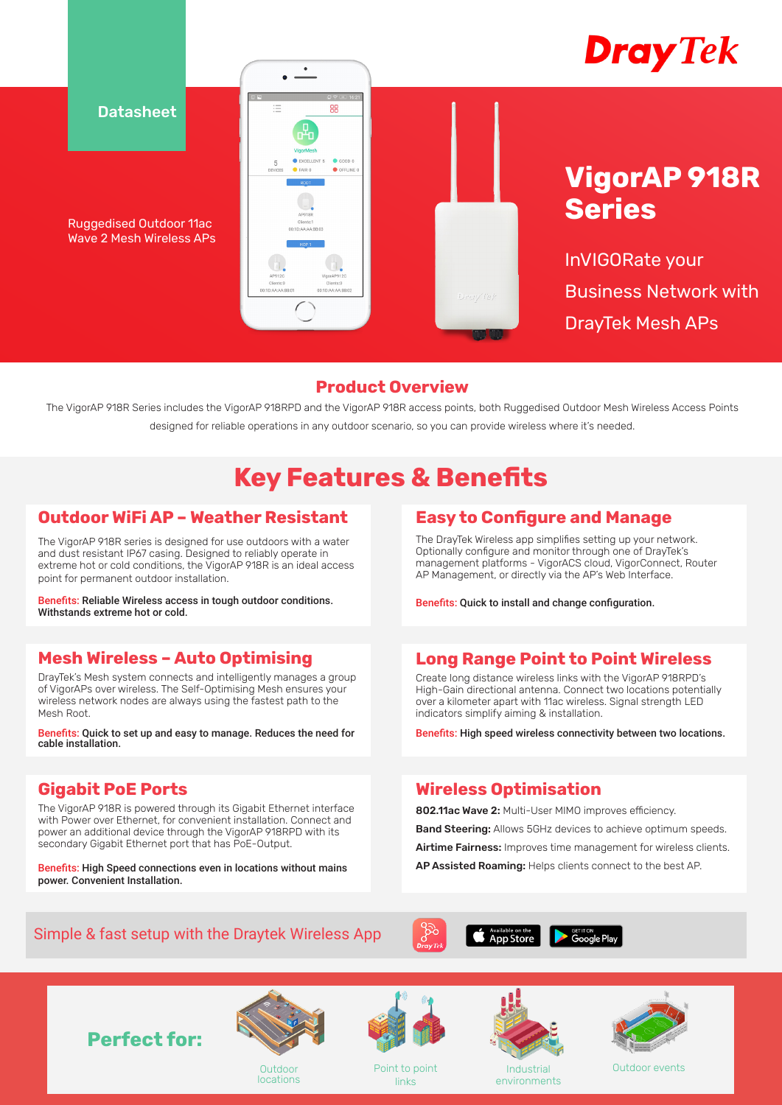

**Datasheet** 

Ruggedised Outdoor 11ac Wave 2 Mesh Wireless APs



# **VigorAP 918R Series**

InVIGORate your Business Network with DrayTek Mesh APs

### **Product Overview**

The VigorAP 918R Series includes the VigorAP 918RPD and the VigorAP 918R access points, both Ruggedised Outdoor Mesh Wireless Access Points designed for reliable operations in any outdoor scenario, so you can provide wireless where it's needed.

# **Key Features & Benefits**

# **Outdoor WiFi AP – Weather Resistant**

The VigorAP 918R series is designed for use outdoors with a water and dust resistant IP67 casing. Designed to reliably operate in extreme hot or cold conditions, the VigorAP 918R is an ideal access point for permanent outdoor installation.

Benefits: Reliable Wireless access in tough outdoor conditions. Withstands extreme hot or cold.

# **Mesh Wireless – Auto Optimising**

DrayTek's Mesh system connects and intelligently manages a group of VigorAPs over wireless. The Self-Optimising Mesh ensures your wireless network nodes are always using the fastest path to the Mesh Root.

Benefits: Quick to set up and easy to manage. Reduces the need for cable installation.

# **Gigabit PoE Ports**

The VigorAP 918R is powered through its Gigabit Ethernet interface with Power over Ethernet, for convenient installation. Connect and power an additional device through the VigorAP 918RPD with its secondary Gigabit Ethernet port that has PoE-Output.

Benefits: High Speed connections even in locations without mains power. Convenient Installation.

# **Easy to Configure and Manage**

The DrayTek Wireless app simplifies setting up your network. Optionally configure and monitor through one of DrayTek's management platforms - VigorACS cloud, VigorConnect, Router AP Management, or directly via the AP's Web Interface.

Benefits: Quick to install and change configuration.

# **Long Range Point to Point Wireless**

Create long distance wireless links with the VigorAP 918RPD's High-Gain directional antenna. Connect two locations potentially over a kilometer apart with 11ac wireless. Signal strength LED indicators simplify aiming & installation.

Benefits: High speed wireless connectivity between two locations.

# **Wireless Optimisation**

802.11ac Wave 2: Multi-User MIMO improves efficiency. Band Steering: Allows 5GHz devices to achieve optimum speeds. Airtime Fairness: Improves time management for wireless clients. AP Assisted Roaming: Helps clients connect to the best AP.

# Simple & fast setup with the Draytek Wireless App









locations



Point to point links



Industrial environments



Outdoor events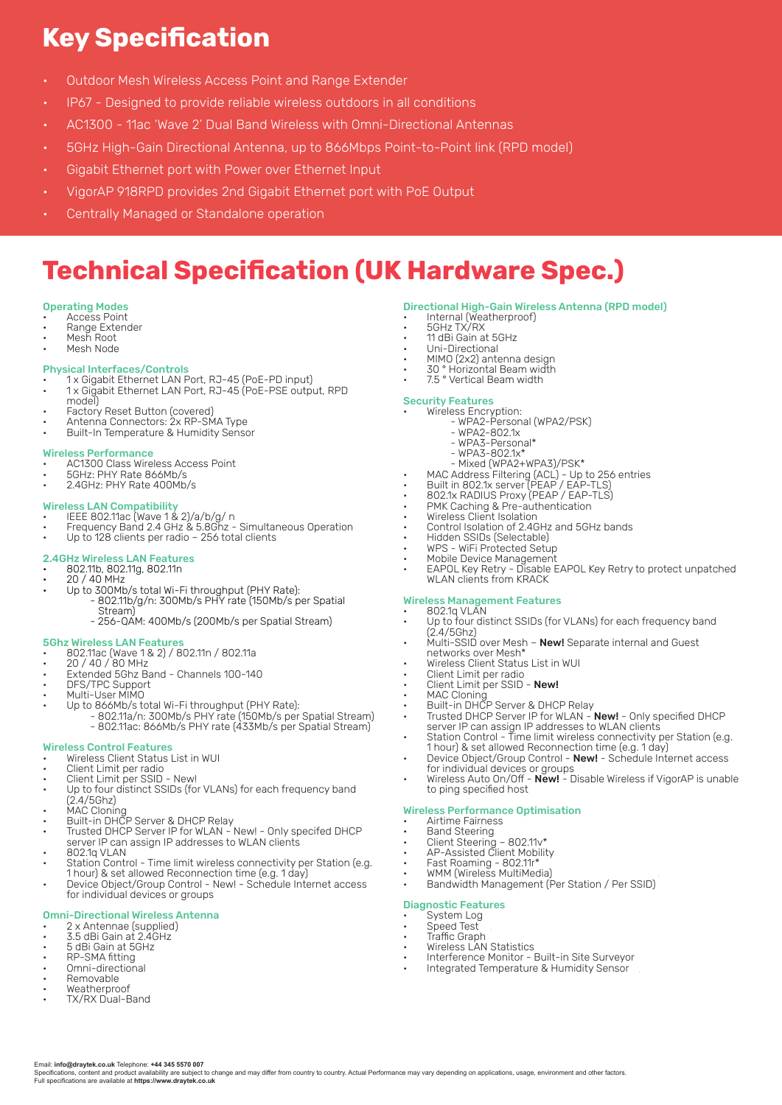# **Key Specification**

- Outdoor Mesh Wireless Access Point and Range Extender
- IP67 Designed to provide reliable wireless outdoors in all conditions
- AC1300 11ac 'Wave 2' Dual Band Wireless with Omni-Directional Antennas
- 5GHz High-Gain Directional Antenna, up to 866Mbps Point-to-Point link (RPD model)
- Gigabit Ethernet port with Power over Ethernet Input
- VigorAP 918RPD provides 2nd Gigabit Ethernet port with PoE Output
- Centrally Managed or Standalone operation

# **Technical Specification (UK Hardware Spec.)**

#### Operating Modes

- Access Point
- Range Extender • Mesh Root
- Mesh Node

### Physical Interfaces/Controls

- 1 x Gigabit Ethernet LAN Port, RJ-45 (PoE-PD input)
- 1 x Gigabit Ethernet LAN Port, RJ-45 (PoE-PSE output, RPD model)
- Factory Reset Button (covered)
- Antenna Connectors: 2x RP-SMA Type
- Built-In Temperature & Humidity Sensor

#### Wireless Performance

- AC1300 Class Wireless Access Point
- 5GHz: PHY Rate 866Mb/s
- 2.4GHz: PHY Rate 400Mb/s

#### Wireless LAN Compatibility

- IEEE 802.11ac (Wave 1 & 2)/a/b/g/ n
- Frequency Band 2.4 GHz & 5.8Ghz Simultaneous Operation
- Up to 128 clients per radio 256 total clients

#### 2.4GHz Wireless LAN Features • 802.11b, 802.11g, 802.11n

- 20 / 40 MHz
- Up to 300Mb/s total Wi-Fi throughput (PHY Rate):
	- 802.11b/g/n: 300Mb/s PHY rate (150Mb/s per Spatial Stream)
	- 256-QAM: 400Mb/s (200Mb/s per Spatial Stream)

- **5Ghz Wireless LAN Features**<br>• 802.11ac (Wave 1 & 2) / 802.11n / 802.11a
- 20 / 40 / 80 MHz
- Extended 5Ghz Band Channels 100-140 • DFS/TPC Support
- Multi-User MIMO
- Up to 866Mb/s total Wi-Fi throughput (PHY Rate):
	- 802.11a/n: 300Mb/s PHY rate (150Mb/s per Spatial Stream) - 802.11ac: 866Mb/s PHY rate (433Mb/s per Spatial Stream)

### Wireless Control Features

- Wireless Client Status List in WUI
- Client Limit per radio
- Client Limit per SSID New!
- Up to four distinct SSIDs (for VLANs) for each frequency band (2.4/5Ghz)
- MAC Cloning
- Built-in DHCP Server & DHCP Relay
- Trusted DHCP Server IP for WLAN New! Only specifed DHCP server IP can assign IP addresses to WLAN clients
- 802.1q VLAN
- Station Control Time limit wireless connectivity per Station (e.g. 1 hour) & set allowed Reconnection time (e.g. 1 day)
- Device Object/Group Control New! Schedule Internet access for individual devices or groups

#### Omni-Directional Wireless Antenna

- 2 x Antennae (supplied) 3.5 dBi Gain at 2.4GHz
- 5 dBi Gain at 5GHz

Email: **info@draytek.co.uk** Telephone: **+44 345 5570 007**

Full specifications are available at **https://www.draytek.co.uk**

- RP-SMA fitting
- Omni-directional
- Removable
- Weatherproof • TX/RX Dual-Band

### Directional High-Gain Wireless Antenna (RPD model)

- Internal (Weatherproof)
- 5GHz TX/RX
- 11 dBi Gain at 5GHz
- Uni-Directional
- MIMO (2x2) antenna design
- 30 ° Horizontal Beam width • 7.5 ° Vertical Beam width
- 

### Security Features

- Wireless Encryption: - WPA2-Personal (WPA2/PSK)
	- WPA2-802.1x
		- WPA3-Personal\*
	- WPA3-802.1x\*
- Mixed (WPA2+WPA3)/PSK\*
- MAC Address Filtering (ACL) Up to 256 entries
- Built in 802.1x server (PEAP / EAP-TLS) • 802.1x RADIUS Proxy (PEAP / EAP-TLS)
- PMK Caching & Pre-authentication
- Wireless Client Isolation
- Control Isolation of 2.4GHz and 5GHz bands
- Hidden SSIDs (Selectable)
- WPS WiFi Protected Setup
- Mobile Device Management • EAPOL Key Retry - Disable EAPOL Key Retry to protect unpatched WLAN clients from KRACK

### Wireless Management Features

- 802.1q VLAN • Up to four distinct SSIDs (for VLANs) for each frequency band
- (2.4/5Ghz)
- Multi-SSID over Mesh **New!** Separate internal and Guest<br>networks over Mesh\*
- Wireless Client Status List in WUI
- Client Limit per radio • Client Limit per SSID - New!
- MAC Cloning
- 
- Built-in DHCP Server & DHCP Relay • Trusted DHCP Server IP for WLAN - **New!** - Only specified DHCP<br>server IP can assign IP addresses to WLAN clients
- Station Control Time limit wireless connectivity per Station (e.g. 1 hour) & set allowed Reconnection time (e.g. 1 day)
- Device Object/Group Control **New!** Schedule Internet access for individual devices or groups
- Wireless Auto On/Off **New!** Disable Wireless if VigorAP is unable to ping specified host

#### Wireless Performance Optimisation

- Airtime Fairness
- **Band Steering**
- Client Steering 802.11v\* • AP-Assisted Client Mobility
- Fast Roaming 802.11r\*

• Wireless LAN Statistics

- WMM (Wireless MultiMedia)
- Bandwidth Management (Per Station / Per SSID)

• Interference Monitor - Built-in Site Surveyor • Integrated Temperature & Humidity Sensor

### Diagnostic Features

System Log • Speed Test • Traffic Graph

Specifications, content and product availability are subject to change and may differ from country to country. Actual Performance may vary depending on applications, usage, environment and other factors